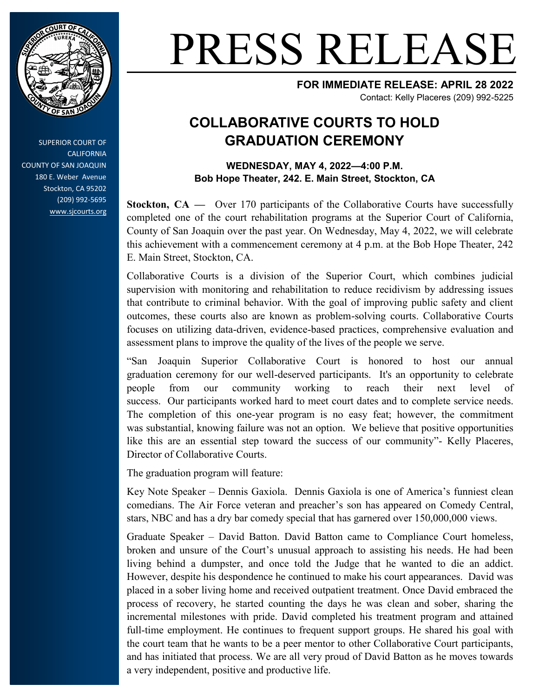

SUPERIOR COURT OF CALIFORNIA COUNTY OF SAN JOAQUIN 180 E. Weber Avenue Stockton, CA 95202 (209) 992-5695 [www.sjcourts.org](http://www.sjcourts.org)

## PRESS RELEASE

**FOR IMMEDIATE RELEASE: APRIL 28 2022** Contact: Kelly Placeres (209) 992-5225

## **COLLABORATIVE COURTS TO HOLD GRADUATION CEREMONY**

**WEDNESDAY, MAY 4, 2022—4:00 P.M. Bob Hope Theater, 242. E. Main Street, Stockton, CA**

**Stockton, CA —** Over 170 participants of the Collaborative Courts have successfully completed one of the court rehabilitation programs at the Superior Court of California, County of San Joaquin over the past year. On Wednesday, May 4, 2022, we will celebrate this achievement with a commencement ceremony at 4 p.m. at the Bob Hope Theater, 242 E. Main Street, Stockton, CA.

Collaborative Courts is a division of the Superior Court, which combines judicial supervision with monitoring and rehabilitation to reduce recidivism by addressing issues that contribute to criminal behavior. With the goal of improving public safety and client outcomes, these courts also are known as problem-solving courts. Collaborative Courts focuses on utilizing data-driven, evidence-based practices, comprehensive evaluation and assessment plans to improve the quality of the lives of the people we serve.

"San Joaquin Superior Collaborative Court is honored to host our annual graduation ceremony for our well-deserved participants. It's an opportunity to celebrate people from our community working to reach their next level of success. Our participants worked hard to meet court dates and to complete service needs. The completion of this one-year program is no easy feat; however, the commitment was substantial, knowing failure was not an option. We believe that positive opportunities like this are an essential step toward the success of our community"- Kelly Placeres, Director of Collaborative Courts.

The graduation program will feature:

Key Note Speaker – Dennis Gaxiola. Dennis Gaxiola is one of America's funniest clean comedians. The Air Force veteran and preacher's son has appeared on Comedy Central, stars, NBC and has a dry bar comedy special that has garnered over 150,000,000 views.

Graduate Speaker – David Batton. David Batton came to Compliance Court homeless, broken and unsure of the Court's unusual approach to assisting his needs. He had been living behind a dumpster, and once told the Judge that he wanted to die an addict. However, despite his despondence he continued to make his court appearances. David was placed in a sober living home and received outpatient treatment. Once David embraced the process of recovery, he started counting the days he was clean and sober, sharing the incremental milestones with pride. David completed his treatment program and attained full-time employment. He continues to frequent support groups. He shared his goal with the court team that he wants to be a peer mentor to other Collaborative Court participants, and has initiated that process. We are all very proud of David Batton as he moves towards a very independent, positive and productive life.